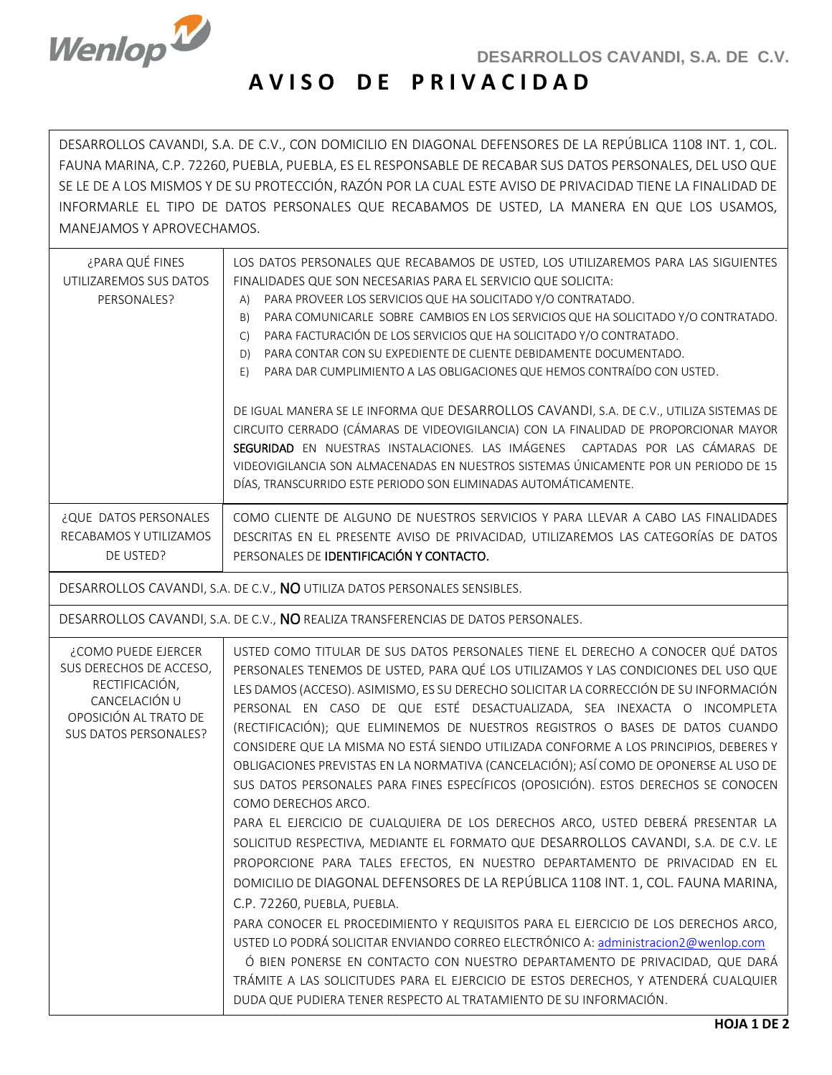

|

## **A V I S O D E P R I V A C I D A D**

DESARROLLOS CAVANDI, S.A. DE C.V., CON DOMICILIO EN DIAGONAL DEFENSORES DE LA REPÚBLICA 1108 INT. 1, COL. FAUNA MARINA, C.P. 72260, PUEBLA, PUEBLA, ES EL RESPONSABLE DE RECABAR SUS DATOS PERSONALES, DEL USO QUE SE LE DE A LOS MISMOS Y DE SU PROTECCIÓN, RAZÓN POR LA CUAL ESTE AVISO DE PRIVACIDAD TIENE LA FINALIDAD DE INFORMARLE EL TIPO DE DATOS PERSONALES QUE RECABAMOS DE USTED, LA MANERA EN QUE LOS USAMOS, MANEJAMOS Y APROVECHAMOS.

| ¿PARA QUÉ FINES<br>UTILIZAREMOS SUS DATOS<br>PERSONALES?                                                                            | LOS DATOS PERSONALES QUE RECABAMOS DE USTED, LOS UTILIZAREMOS PARA LAS SIGUIENTES<br>FINALIDADES QUE SON NECESARIAS PARA EL SERVICIO QUE SOLICITA:<br>PARA PROVEER LOS SERVICIOS QUE HA SOLICITADO Y/O CONTRATADO.<br>A)<br>PARA COMUNICARLE SOBRE CAMBIOS EN LOS SERVICIOS QUE HA SOLICITADO Y/O CONTRATADO.<br>B)<br>PARA FACTURACIÓN DE LOS SERVICIOS QUE HA SOLICITADO Y/O CONTRATADO.<br>$\mathsf{C}$<br>PARA CONTAR CON SU EXPEDIENTE DE CLIENTE DEBIDAMENTE DOCUMENTADO.<br>D)<br>PARA DAR CUMPLIMIENTO A LAS OBLIGACIONES QUE HEMOS CONTRAÍDO CON USTED.<br>E)<br>DE IGUAL MANERA SE LE INFORMA QUE DESARROLLOS CAVANDI, S.A. DE C.V., UTILIZA SISTEMAS DE<br>CIRCUITO CERRADO (CÁMARAS DE VIDEOVIGILANCIA) CON LA FINALIDAD DE PROPORCIONAR MAYOR<br>SEGURIDAD EN NUESTRAS INSTALACIONES. LAS IMÁGENES CAPTADAS POR LAS CÁMARAS DE<br>VIDEOVIGILANCIA SON ALMACENADAS EN NUESTROS SISTEMAS ÚNICAMENTE POR UN PERIODO DE 15<br>DÍAS, TRANSCURRIDO ESTE PERIODO SON ELIMINADAS AUTOMÁTICAMENTE.                                                                                                                                                                                                                                                                                                                                                                                                                                                                                                                   |
|-------------------------------------------------------------------------------------------------------------------------------------|--------------------------------------------------------------------------------------------------------------------------------------------------------------------------------------------------------------------------------------------------------------------------------------------------------------------------------------------------------------------------------------------------------------------------------------------------------------------------------------------------------------------------------------------------------------------------------------------------------------------------------------------------------------------------------------------------------------------------------------------------------------------------------------------------------------------------------------------------------------------------------------------------------------------------------------------------------------------------------------------------------------------------------------------------------------------------------------------------------------------------------------------------------------------------------------------------------------------------------------------------------------------------------------------------------------------------------------------------------------------------------------------------------------------------------------------------------------------------------------------------------------------------|
| ¿QUE DATOS PERSONALES<br>RECABAMOS Y UTILIZAMOS<br>DE USTED?                                                                        | COMO CLIENTE DE ALGUNO DE NUESTROS SERVICIOS Y PARA LLEVAR A CABO LAS FINALIDADES<br>DESCRITAS EN EL PRESENTE AVISO DE PRIVACIDAD, UTILIZAREMOS LAS CATEGORÍAS DE DATOS<br>PERSONALES DE IDENTIFICACIÓN Y CONTACTO.                                                                                                                                                                                                                                                                                                                                                                                                                                                                                                                                                                                                                                                                                                                                                                                                                                                                                                                                                                                                                                                                                                                                                                                                                                                                                                      |
| DESARROLLOS CAVANDI, S.A. DE C.V., NO UTILIZA DATOS PERSONALES SENSIBLES.                                                           |                                                                                                                                                                                                                                                                                                                                                                                                                                                                                                                                                                                                                                                                                                                                                                                                                                                                                                                                                                                                                                                                                                                                                                                                                                                                                                                                                                                                                                                                                                                          |
| DESARROLLOS CAVANDI, S.A. DE C.V., NO REALIZA TRANSFERENCIAS DE DATOS PERSONALES.                                                   |                                                                                                                                                                                                                                                                                                                                                                                                                                                                                                                                                                                                                                                                                                                                                                                                                                                                                                                                                                                                                                                                                                                                                                                                                                                                                                                                                                                                                                                                                                                          |
| ¿COMO PUEDE EJERCER<br>SUS DERECHOS DE ACCESO,<br>RECTIFICACIÓN,<br>CANCELACIÓN U<br>OPOSICIÓN AL TRATO DE<br>SUS DATOS PERSONALES? | USTED COMO TITULAR DE SUS DATOS PERSONALES TIENE EL DERECHO A CONOCER QUÉ DATOS<br>PERSONALES TENEMOS DE USTED, PARA QUÉ LOS UTILIZAMOS Y LAS CONDICIONES DEL USO QUE<br>LES DAMOS (ACCESO). ASIMISMO, ES SU DERECHO SOLICITAR LA CORRECCIÓN DE SU INFORMACIÓN<br>PERSONAL EN CASO DE QUE ESTÉ DESACTUALIZADA, SEA INEXACTA O INCOMPLETA<br>(RECTIFICACIÓN); QUE ELIMINEMOS DE NUESTROS REGISTROS O BASES DE DATOS CUANDO<br>CONSIDERE QUE LA MISMA NO ESTÁ SIENDO UTILIZADA CONFORME A LOS PRINCIPIOS, DEBERES Y<br>OBLIGACIONES PREVISTAS EN LA NORMATIVA (CANCELACIÓN); ASÍ COMO DE OPONERSE AL USO DE<br>SUS DATOS PERSONALES PARA FINES ESPECÍFICOS (OPOSICIÓN). ESTOS DERECHOS SE CONOCEN<br>COMO DERECHOS ARCO.<br>PARA EL EJERCICIO DE CUALQUIERA DE LOS DERECHOS ARCO, USTED DEBERÁ PRESENTAR LA<br>SOLICITUD RESPECTIVA, MEDIANTE EL FORMATO QUE DESARROLLOS CAVANDI, S.A. DE C.V. LE<br>PROPORCIONE PARA TALES EFECTOS, EN NUESTRO DEPARTAMENTO DE PRIVACIDAD EN EL<br>DOMICILIO DE DIAGONAL DEFENSORES DE LA REPÚBLICA 1108 INT. 1, COL. FAUNA MARINA,<br>C.P. 72260, PUEBLA, PUEBLA.<br>PARA CONOCER EL PROCEDIMIENTO Y REQUISITOS PARA EL EJERCICIO DE LOS DERECHOS ARCO,<br>USTED LO PODRÁ SOLICITAR ENVIANDO CORREO ELECTRÓNICO A: administracion2@wenlop.com<br>Ó BIEN PONERSE EN CONTACTO CON NUESTRO DEPARTAMENTO DE PRIVACIDAD, QUE DARÁ<br>TRÁMITE A LAS SOLICITUDES PARA EL EJERCICIO DE ESTOS DERECHOS, Y ATENDERÁ CUALQUIER<br>DUDA QUE PUDIERA TENER RESPECTO AL TRATAMIENTO DE SU INFORMACIÓN. |